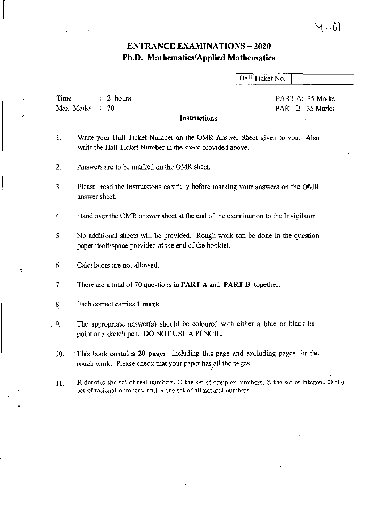## ENTRANCE EXAMINATIONS - 2020 Ph.D. Mathematics/Applied Mathematics

Hall Ticket No.

1–61

PART A: 35 Marks PART B: 35 Marks

Time Max. Marks 2 hours  $: 70$ 

**Instructions** 

- 1. Write your Hall Ticket Number on the OMR Answer Sheet given to you. Also write the Hall Ticket Number in the space provided above.
- 2. Answers are to be marked on the OMR sheet.
- 3. Please read the instructions carefully before marking your answers on the OMR answer sheet.
- 4. Hand over the OMR answer sheet at the end of the examination to the Invigilator.
- 5. No additional sheets will be provided. Rough work can be done in the question paper itself/space provided at the end of the booklet.
- 6. Calculators are not allowed.

 $\ddot{\phantom{0}}$ 

"

- 7. There are a total of 70 questions in **PART A and PART B** together.
- 8<sub>.</sub> Each correct carries 1 mark.
- 9. The appropriate answer(s) should be coloured with either a blue or black ball point or a sketch pen. DO NOT USE A PENCIL.
	- 10. This book contains 20 pages including this page and excluding pages for the rough work. Please check that your paper has all the pages.
	- 11. R denotes the set of real numbers, C the set of complex numbers, Z the set of integers, Q the set of rational numbers, and N the set of all natural numbers.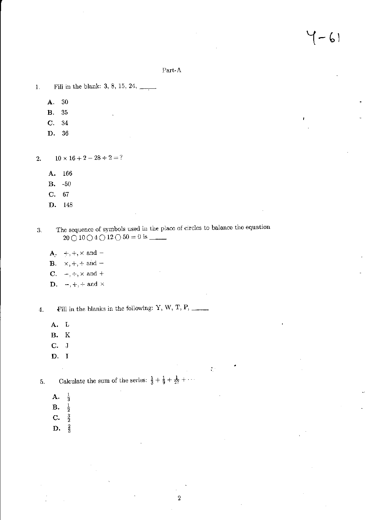### Part-A

- 1. Fill in the blank:  $3, 8, 15, 24,$ 
	- A. 30
	- B. 35
	- C. 34
	- D. 36

2.  $10 \times 16 + 2 - 28 \div 2 = ?$ 

- A. 166
- B. -50
- C. 67
- D. 148
- 3. The sequence of symbols used in the place of circles to balance the equation 20010040 12050 ~ <sup>0</sup>i' \_\_
	- $A, \rightarrow, +, \times$  and -
	- **B.**  $\times$ ,  $+$ ,  $+$  and  $-$
	- C.  $-$ ,  $\div$ ,  $\times$  and  $+$
	- **D.**  $-$ ,  $+$ ,  $\div$  and  $\times$

4. - Fill in the blanks in the following: Y, W, T, P,  $\frac{1}{\sqrt{2\pi}}$ 

- A. L
- B. K
- C. J
- D. I

 $\bar{z}$ 

5. Calculate the sum of the series:  $\frac{1}{3} + \frac{1}{9} + \frac{1}{27} + \cdots$ 

- ${\bf A}$ .  $\frac{1}{3}$
- B. 1  $\frac{1}{2}$
- $\mathbf C$ .  $\frac{3}{2}$
- D.  $\frac{2}{3}$

•

 $\mathcal{L}^{\pm}$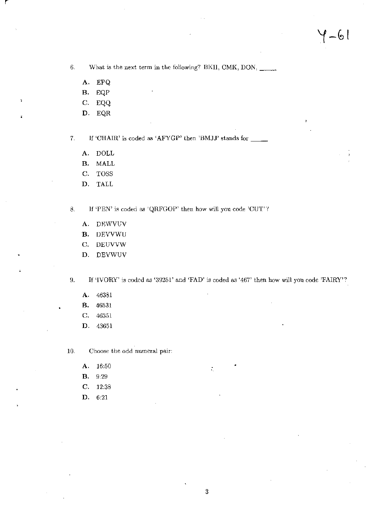6. What is the next term in the following? BKII, CMK, DON,  $\frac{1}{\sqrt{1-\frac{1}{2}}\sqrt{1-\frac{1}{2}}\sqrt{1-\frac{1}{2}}\sqrt{1-\frac{1}{2}}\sqrt{1-\frac{1}{2}}\sqrt{1-\frac{1}{2}}\sqrt{1-\frac{1}{2}}\sqrt{1-\frac{1}{2}}\sqrt{1-\frac{1}{2}}\sqrt{1-\frac{1}{2}}\sqrt{1-\frac{1}{2}}\sqrt{1-\frac{1}{2}}\sqrt{1-\frac{1}{2}}\sqrt{1-\frac{1}{2}}\sqrt$ 

A. EPQ

r

- B. EQP
- C. EQQ
- D. EQR

7. If 'CHAIR' is coded as 'AFYGP' then 'BMJJ' stands for

- A. DOLL
- B. MALL
- C. TOSS
- D. TALL

8. If 'PEN' is coded as 'QRFGOP' then how will you code 'CUT'?

- A. DEWVUV
- B. DEVVWU
- C. DEUVVW
- D. DEVWUV

9. If 'IVORY' is coded as '39251' and 'FAD' is coded as '467' then how will yon code 'FAIRY'?

- A. 46381
- B. 46531
- C. 46351
- D. 43651
- 10. Choose the odd numeral pair:
	- **A.** 16:50 •
	- B. 9,29
	- C. 12,38
	- D. 6,21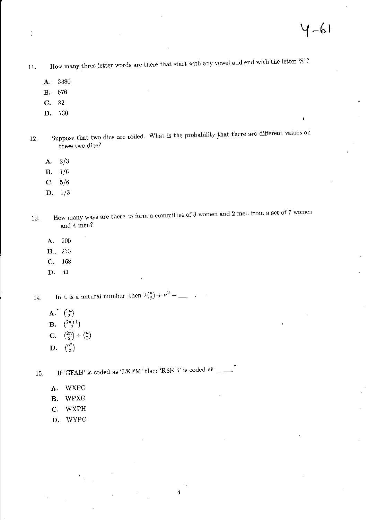- 11. How many three-letter words are there that start with any vowel and end with the letter'S'?
	- A. 3380
	- B. 676
	- C. 32
	- D. 130
- 12. Suppose that two dice are rolled. What is the probability that there are different values on these two dice?
	- A. 2/3
	- B. 1/6
	- C. 5/6
	- D. 1/3
- 13. How many ways are there to form a committee of 3 women and 2 men from a set of 7 women and 4 men?

4

- A. 200
- **B.**, 210
- C. 168
- D. 41

14. In *n* is a natural number, then  $2{n \choose 2} + n^2 =$ 

- A.  $\binom{2n}{2}$
- B.  $\binom{2n+1}{2}$
- **C.**  $\binom{2n}{2} + \binom{n}{2}$
- D.  $\binom{n^2}{2}$

15. If 'GFAH' is coded as 'LKFM' then 'RSKB' is coded as  $\Box$ •

- A. WXPG
- B. WPXG
- C. WXPH
- D. WYPG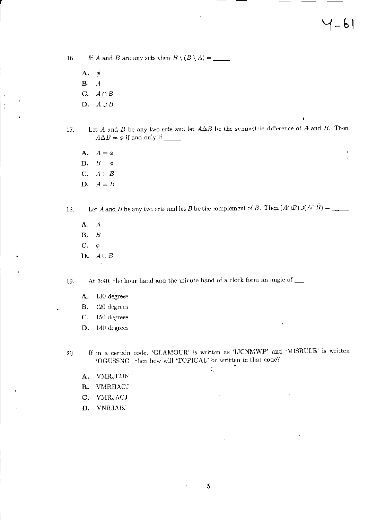16, If.4 and B are any sets then B \ (B \ A) = \_\_

- A. ¢ B. *A*  C.  $A \cap B$
- D.  $A \cup B$
- 17. Let A and B be any two sets and let  $A\Delta B$  be the symmetric difference of A and B. Then  $A\Delta B = \phi$  if and only if \_\_\_\_\_
	- A.  $A=\phi$ **B.**  $B=\phi$ C. *AcB*  D.  $A=B$
- 18. Let A and H be any two set;, and let B be the complement of B. TheIl (AnB)u(AnB) = .. \_
	- A. A B. H  $C. \phi$ D.  $A \cup B$

19. At 3:40, the hour hand and the minute hand of a clock form an angle of  $\frac{1}{\sqrt{1-\frac{1}{n}}}\left| \frac{1}{n+1} \right|$ 

- A. 130 degrees
- B. 120 degrees
- C. 150 degrees
- D. 140 degrees

20. If in a certain code, 'GLAMOUR' is written as 'IJCNMWP' and 'MISRULE' is written 'OGUSSNC', then how will 'TOPICAL' be written in that code? •

÷,

- A. VMRJEUK
- B. VMRIIACJ
- C. VMRJACJ
- D. VNRJABJ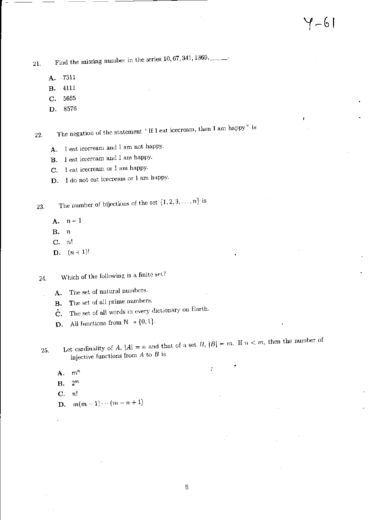21. Find the missing number in the series  $10,67,341,1369,$ .........

- A. 7311
- B. 4111
- C. 5665
- D. 8576

22. The negation of the statement "If I eat icecream, then I am happy" is

- A. I eat icecrearn and I am not happy.
- B. I eat icecream and I am happy.
- C. I eat icecream or I am happy.
- D. I do not eat icecream or I am happy.

23. The number of bijections of the set  $\{1, 2, 3, ..., n\}$  is

- $A.$   $n-1$
- B. n
- C. *n!*

i.

**D.**  $(n+1)!$ 

24. Which of the following is a finite set?

- A. The set of natural numbers.
- **B.** The set of all prime numbers.
- $\dot{\mathbf{C}}$ . The set of all words in every dictionary on Earth.
- **D.** All functions from  $\mathbb{N} \to \{0, 1\}.$

25. Let cardinality of A,  $|A| = n$  and that of a set B,  $|B| = m$ . If  $n < m$ , then the number of injective functions from *A* to *B* is

•

÷,

- A. *mn*
- $\mathbf{B}$ .  $2^m$
- C. *n'*
- **D.**  $m(m-1)\cdots(m-n+1)$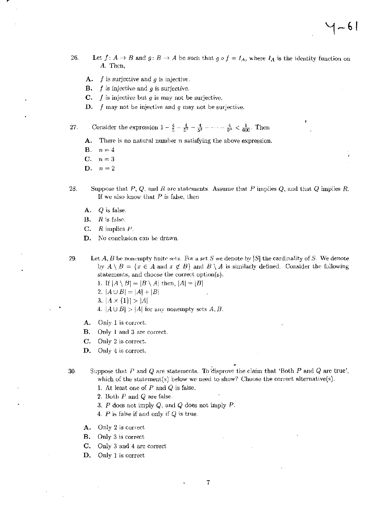- 26. Let  $f: A \rightarrow B$  and  $g: B \rightarrow A$  be such that  $g \circ f = I_A$ , where  $I_A$  is the identity function on *A.* Then,
	- A. f is surjective and *9* is injective.
	- **B.**  $f$  is injective and  $g$  is surjective.
	- **C.**  $f$  is injective but  $g$  is may not be surjective.
	- D. f may not be injective and *9* may not be surjective.

27. Consider the expression  $1 - \frac{4}{5} - \frac{4}{5^2} - \frac{4}{5^3} - \cdots - \frac{4}{5^n} < \frac{1}{600}$ . Then

- A. There is no natural number *n* satisfying the above expression.
- **B.**  $n=4$
- **C.**  $n=3$
- D.  $n=2$
- 28. Suppose that  $P$ ,  $Q$ , and  $R$  arc statements. Assume that  $P$  implies  $Q$ , and that  $Q$  implies  $R$ . If we also know that  $P$  is false, then
	- A. *Q* is false.
	- $B.$  R is false.
	- C. *R* implies *Y*
	- D. No conclusion can be drawn.

29. Let *A, B* be nonempty finite sets. For a set *S* we denote by  $|S|$  the cardinality of *S*. We denote by  $A \setminus B = \{x \in A \text{ and } x \notin B\}$  and  $B \setminus A$  is similarly defined. Consider the following statements, and choose the correct option(s).

- 1. If  $|A \setminus B| = |B \setminus A|$  then,  $|A| = |B|$
- 2.  $|A \cup B| = |A| + |B|$
- 3,  $|A \times \{1\}| > |A|$
- 4.  $|A \cup B| > |A|$  for any nonempty sets A, B.
- A. Only 1 is correct.
- B. Only 1 and 3 are correct.
- C. Only 2 is correct.
- D. Only 4 is correct.

• 30. Suppose that  $P$  and  $Q$  are statements. To disprove the claim that 'Both  $P$  and  $Q$  are true', which of the statement(s) below we need to show? Choose the correct alternative(s).

7

- 1. At least one of *P* and Q is false.
- 2. Both P and *Q* are false.
- 3. P does not imply Q, and Q does not imply P.
- *4. P* is false if and only if *Q* is true.
- A. Only 2 is correct
- B. Only 3 is correct
- C. Only 3 and 4 arc correct
- D. Only 1 is correct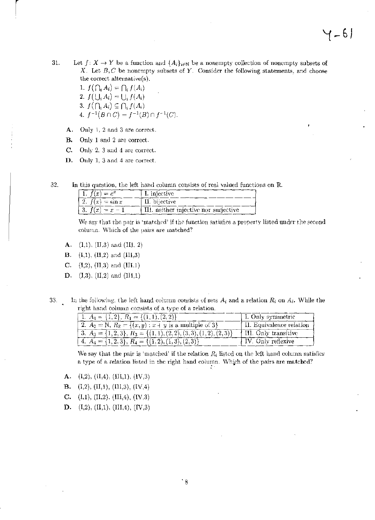31. Let  $f: X \to Y$  be a function and  $\{A_i\}_{i \in \mathbb{N}}$  be a nonempty collection of nonempty subsets of X. Let  $B, C$  be nonempty subsets of Y. Consider the following statements, and choose the correct alternative(s).

1.  $f\left(\bigcap_i A_i\right) = \bigcap_i f(A_i)$ 2.  $f(\bigcup_i A_i) = \bigcup_i f(A_i)$ 3.  $f\left(\bigcap_{i}A_{i}\right)\subseteq\bigcap_{i}f(A_{i})$ 4.  $f^{-1}(B \cap C) = f^{-1}(B) \cap f^{-1}(C)$ .

- A. Only 1. 2 and 3 are correct.
- B. Only 1 and 2 are correct.

 $\vert$ 

- C. Only 2. 3 and 4 arc correct.
- D. Only 1. 3 and 4 arc correct.
- 32. In this question, the left hand column consists of real valued functions on  $\mathbb{R}$ .

| 1. $f(x) = e^x$              | I. injective                          |
|------------------------------|---------------------------------------|
| 2. $f(x) = \sin x$           | II. bijective                         |
| 3. $f(x) = \overline{x} - 1$ | III. neither injective nor surjective |

We say that the pair is 'matched' if the function satisfies a property listed under the second column. Which of the pairs are matched?

- **A.** (I,1), (II,3) and (III, 2)
- **B.** (I,1), (II,2) and (III,3)
- C.  $(1,2)$ ,  $(II,3)$  and  $(III,1)$
- **D.** (1,3), (11,2) and (111,1)
- 33. In the following, the left hand column consists of sets  $A_i$  and a relation  $R_i$  on  $A_i$ . While the right hand column consists of a type of a relation.<br>  $\boxed{1, A_1 = \{1, 2\}, R_1 = \{(1, 1), (2, 2)\}}$

| 1. $A_1 = \{1,2\}, R_1 = \{(1,1), (2,2)\}\$                                 | I. Only symmetric        |
|-----------------------------------------------------------------------------|--------------------------|
| 2. $A_2 = \mathbb{N}, B_2 = \{(x, y) : x + y \text{ is a multiple of } 3\}$ | Il. Equivalence relation |
| 3. $A_3 = \{1,2,3\}, R_3 = \{(1,1),(2,2),(3,3),(1,2),(2,3)\}$               | III. Only transitive     |
| 4. $A_4 = \{1, 2, 3\}, R_4 = \{(1, 2), (1, 3), (2, 3)\}$                    | IV. Only reflexive       |

We say that the pair is 'matched' if the relation  $R_i$  listed on the left hand column satisfies a type of a relation listed in the right hand column. Which of the pairs are matched?

A.  $(I,2)$ ,  $(I,4)$ ,  $(II,1)$ ,  $(IV,3)$ 

**B.** (I,2), (II,1), (III,3), (IV,4)

- C.  $(I,1), (II,2), (III,4), (IV,3)$
- **D.** (I,2), (II,1), (III,4), (IV,3)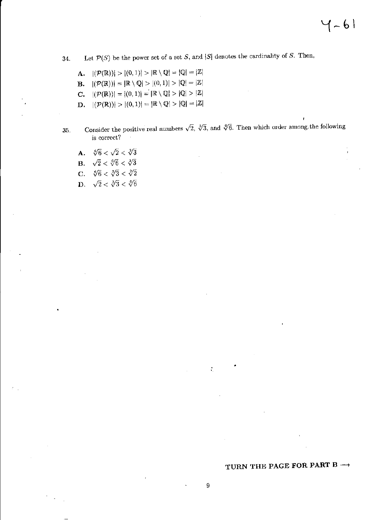34. Let  $\mathcal{P}(S)$  be the power set of a set S, and |S| denotes the cardinality of S. Then,

A.  $|(\mathcal{P}(\mathbb{R}))| > |(0,1)| > |\mathbb{R} \setminus \mathbb{Q}| = |\mathbb{Q}| = |\mathbb{Z}|$ **B.**  $|(\mathcal{P}(\mathbb{R}))| = |\mathbb{R} \setminus \mathbb{Q}| > |(0,1)| > |\mathbb{Q}| = |\mathbb{Z}|$ **C.**  $|({\cal P}(\mathbb{R}))| = |(0,1)| = |\mathbb{R} \setminus \mathbb{Q}| > |\mathbb{Q}| > |\mathbb{Z}|$ **D.**  $|(\mathcal{P}(\mathbb{R}))| > |(0,1)| = |\mathbb{R} \setminus \mathbb{Q}| > |\mathbb{Q}| = |\mathbb{Z}|$ 

- 35. Consider the positive real numbers  $\sqrt{2}$ ,  $\sqrt[3]{3}$ , and  $\sqrt[6]{6}$ . Then which order among the following is correct?
	- A.  $\sqrt[6]{6} < \sqrt{2} < \sqrt[3]{3}$ **B.**  $\sqrt{2} < \sqrt[6]{6} < \sqrt[3]{3}$
	- C.  $\sqrt[6]{6} < \sqrt[3]{3} < \sqrt[2]{2}$
	- D.  $\sqrt{2} < \sqrt[3]{3} < \sqrt[6]{6}$

# TURN THE PAGE FOR PART B  $\rightarrow$

•

 $\zeta_i$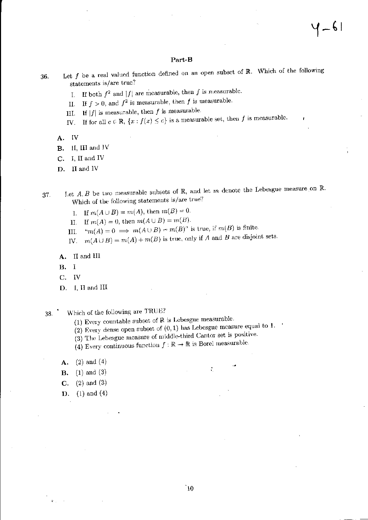#### Part-B

- 36. Let f be a real valued function defined on an open subset of  $\mathbb R$ . Which of the following statcments is/are true?
	- I. If both  $f^2$  and  $|f|$  are measurable, then f is measurable.
	- II. If  $f > 0$ , and  $f^2$  is measurable, then f is measurable.
	- III. If  $|f|$  is measurable, then f is measurable.
	- IV. If for all  $c \in \mathbb{R}$ ,  $\{x: f(x) \leq c\}$  is a measurable set, then f is measurable.
	- A. IV
	- B. II, III and IV
	- C. J, II and IV
	- D. II and IV
- 37. Let  $A, B$  be two measurable subsets of  $\mathbb{R}$ , and let  $m$  denote the Lebesgue measure on  $\mathbb{R}$ . \Vhich of the following statements is/are true?
	- 1. If  $m(A \cup B) = m(A)$ , then  $m(B) = 0$ .
	- II. If  $m(A) = 0$ , then  $m(A \cup B) = m(B)$ .
	- III. " $m(A) = 0 \implies m(A \cup B) = m(B)$ " is true, if  $m(B)$  is finite.
	- IV.  $m(A \cup B) = m(A) + m(B)$  is true, only if A and B are disjoint sets.
	- A. II and III
	- B. I
	- C. IV
	- D. I, H and III
- 38. Which of the following are TRUE?
	- (1) Every countable subset of  $\mathbb R$  is Lebesgue measurable.
	- (2) Every dense open subset of  $(0, 1)$  has Lebesgue measure equal to 1.
	- (3) The Lebesgue measure of middle-third Cantor set is positive.
	- (4) Every continuous function  $f: \mathbb{R} \to \mathbb{R}$  is Borel measurable.
	- $A. (2) and (4)$
	- **B.** (1) and (3)
	- **C.** (2) and (3)
	- **D.** (1) and (4)

 $\mathbf{c}$  .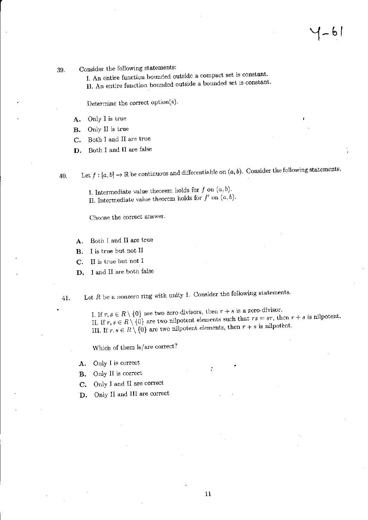1–61

### 39. Consider the following statements:

L An entire function bounded outside a compact set is constant. II. An entire function bounded outside a bounded set is constant.

Determine the correct option(s).

- A. Only I is true
- B. Only II is true
- C. Both I and II are true
- **D.** Both I and II are false

40. Let  $f : [a, b] \to \mathbb{R}$  be continuous and differentiable on  $(a, b)$ . Consider the following statements.

I. Intermediate value theorem holds for  $f$  on  $(a,b)$ . II. Intermediate value theorem holds for  $f'$  on  $(a, b)$ .

Choose the correct answer.

- A. Both I and II are true
- B. I is true but not II
- C. II is true but not I
- **D.** I and II are both false

41. Let  $R$  be a nonzero ring with unity 1. Consider the following statements.

I. If  $r, s \in R \setminus \{0\}$  are two zero-divisors, then  $r + s$  is a zero-divisor. II. If  $r, s \in R \setminus \{0\}$  are two nilpotent elements such that  $rs = sr$ , then  $r + s$  is nilpotent. III. If  $r, s \in R \setminus \{0\}$  are two nilpotent elements, then  $r + s$  is nilpotent.

Which of them is/are corred?

- A. Only I is correct  $\mathbf{C} = \mathbf{C} \mathbf{C} \mathbf{C} + \mathbf{C} \mathbf{C} \mathbf{C} \mathbf{C} + \mathbf{C} \mathbf{C} \mathbf{C} \mathbf{C} + \mathbf{C} \mathbf{C} \mathbf{C} \mathbf{C} \mathbf{C} + \mathbf{C} \mathbf{C} \mathbf{C} \mathbf{C} \mathbf{C} \mathbf{C} + \mathbf{C} \mathbf{C} \mathbf{C} \mathbf{C} \mathbf{C} \mathbf{C} \mathbf{C} \mathbf{C} \mathbf{C} \mathbf{C$
- B. Only II is correct
- C. Only I and II are correct
- D. Only II and III are correct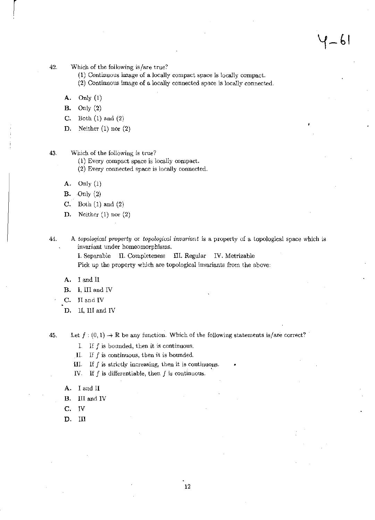- 42, Which of the following is/are true?
	- (1) Continuous image of a locally compact space is locally compact.
	- (2) Continuous image of a locally connected space is locally connected.
	- A. Only (1)

 $\vert$ 

- B. Only (2)
- C. Both (1) and (2)
- D. Neither  $(1)$  nor  $(2)$

43. Which of the following is true?

- (1) Every compact space is locally compact.
- (2) Every connected space is locally connected.
- A. Only (1)
- $B.$  Only  $(2)$
- C. Both (1) and (2)
- D. Neither (1) nor (2)

44. A *topological property* or *topological invariant* is a property of a topological space which is invariant under homeomorphisms.

> 1. Separable II. Completeness III. Regular IV. Metrizable Pick up the property which are topological invariants from the above:

A. I and II

B. I, III and IV

C. II and IV

D. II, III and IV

45. Let  $f:(0,1) \to \mathbb{R}$  be any function. Which of the following statements is/are correct?

I. If  $f$  is bounded, then it is continuous.

11. If f is continuous, then it is bounded.

- III. If  $f$  is strictly increasing, then it is continuous.
- IV. If  $f$  is differentiable, then  $f$  is continuous.
- A. I and 11
- B. III and IV
- C. IV
- D. III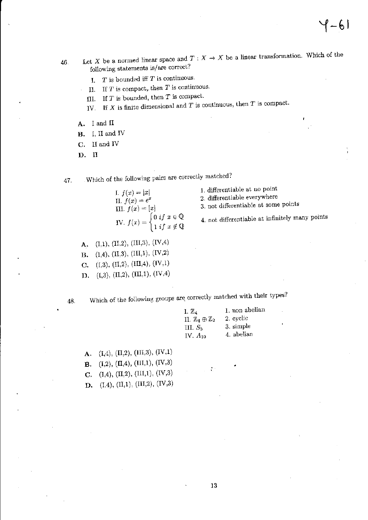- 46. Let X be a normed linear space and  $T : X \to X$  be a linear transformation. Which of the following statements is/are correct?
	- L *T* is bounded iff *T* is continuous.
	- II. If *T* is compact,. then *T* is continuous.
	- III. If  $T$  is bounded, then  $T$  is compact.
	- IV. If X is finite dimensional and T is continuous, then T is compact.
	- A. I and II
	- B. I, II and IV
	- C. II and IV
	- D. II

 $\ddot{\phantom{0}}$ 

47. Which of the following pairs are correctly matched?

- I.  $f(x) = |x|$ II.  $f(x) = e^x$ III.  $f(x) = [x]$ IV.  $f(x) = \begin{cases} 0 & \text{if } x \in \mathbb{Q} \\ 0 & \text{if } x \in \mathbb{Q} \end{cases}$ 1 if  $x \notin \mathbb{Q}$
- 1. differentiable at no point 2. differentiable everywhere 3. not differentiable at some points

4. not. differentiable at infinitely many points

- A. (I,1), (II,2), (III,3), (IV,4)
- **B.** (1,4), (II,3), (III,1), (IV,2)
- C. (1,3), (I1,2), *(IlIA).* (lV,I)
- D. (I,3), (II,2), (III,1), (IV,4)

48. Which of the following groups are correctly matched with their types?

| I. Z4                                  | 1. non abelian |
|----------------------------------------|----------------|
| II. $\mathbb{Z}_4 \oplus \mathbb{Z}_2$ | 2. cyclic      |
| III. $S_5$                             | 3. simple      |
| IV. $A_{10}$                           | 4. abelian     |

•

A.  $(L,4)$ ,  $(H,2)$ ,  $(HI,3)$ ,  $(HV,1)$ **B.** (I,2), (II,4), (III,1), (IV,3) C.  $(1,4)$ ,  $(II,2)$ ,  $(III,1)$ ,  $(IV,3)$ D. (1,4), (I1,1), (II1,2), (IV,3)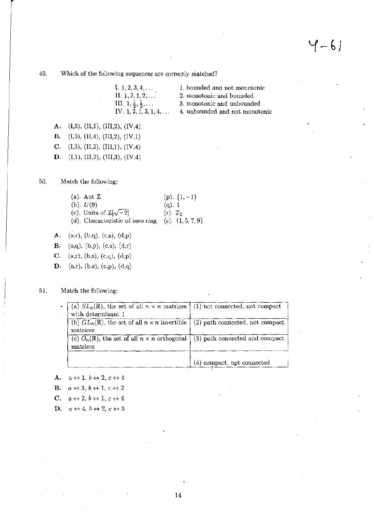49. Which of the following sequences are correctly matched?

| I. $1, 2, 3, 4, \ldots$                    |
|--------------------------------------------|
| II. $1, 2, 1, 2, \ldots$                   |
| III. $1, \frac{1}{2}, \frac{1}{3}, \ldots$ |
| IV. 1, 2, 1, 3, 1, 4,                      |

1. bounded and not monotonic 2. monotonic and bounded 3. monotonic and unbounded

4. unbounded and not monotonic

A. (I,3), (II,1), (III,2), (IV,4)

B. (I,3), (II,4), (III,2), (IV,1)

C. (I,3), (II,2), (III,1), (IV,4)

**D.** (I,1), (II,2), (III,3), (IV,4)

 $\sim 100$ 

50. Match the following:

| (a). Aut $\mathbb Z$                  | (p). $\{1, -1\}$       |
|---------------------------------------|------------------------|
| (b). $U(9)$                           | $(q)$ , 1              |
| (c). Units of $\mathbb{Z}[\sqrt{-2}]$ | $(r)$ . $\mathbb{Z}_2$ |
| (d). Characteristic of zero ring      | (s). $\{1, 5, 7, 9\}$  |

A. (a,r), (b,q), (c,s), (d,p)

**B.** (a,q), (b,p), (c,s),  $(d,r)$ 

C. (a,r), (b,s), (c,q), (d,p)

D. (a,r), (b,s), (c,p), (d,q)

51. Match the following:

| (a) $SL_n(\mathbb{R})$ , the set of all $n \times n$ matrices $\vert$ (1) not connected, not compact<br>with determinant 1 |                                |
|----------------------------------------------------------------------------------------------------------------------------|--------------------------------|
| (b) $GL_n(\mathbb{R})$ , the set of all $n \times n$ invertible (2) path connected, not compact<br>matrices                |                                |
| (c) $O_n(\mathbb{R})$ , the set of all $n \times n$ orthogonal<br>matrices                                                 | (3) path connected and compact |
|                                                                                                                            | (4) compact, not connected     |

A.  $a \leftrightarrow 1, b \leftrightarrow 2, c \leftrightarrow 4$ 

**B.**  $a \leftrightarrow 3, b \leftrightarrow 1, c \leftrightarrow 2$ 

C.  $a \leftrightarrow 2, b \leftrightarrow 1, c \leftrightarrow 4$ 

D.  $a \leftrightarrow 4, b \leftrightarrow 2, c \leftrightarrow 3$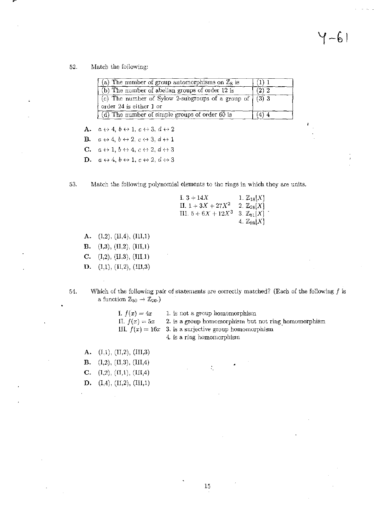$1 - 61$ 

52. Match the following:

| (a) The number of group automorphisms on $\mathbb{Z}_8$ is |         |
|------------------------------------------------------------|---------|
| $(b)$ The number of abelian groups of order 12 is          | $(2)$ 2 |
| (c) The number of Sylow 2-subgroups of a group of $(3)$ 3  |         |
| order 24 is either 1 or                                    |         |
| $(d)$ The number of simple groups of order 60 is           | (4) 4   |

A.  $a \leftrightarrow 4$ ,  $b \leftrightarrow 1$ ,  $c \leftrightarrow 3$ ,  $d \leftrightarrow 2$ 

**B.**  $a \leftrightarrow 4$ ,  $b \leftrightarrow 2$ ,  $c \leftrightarrow 3$ ,  $d \leftrightarrow 1$ 

C.  $a \leftrightarrow 1, b \leftrightarrow 4, c \leftrightarrow 2, d \leftrightarrow 3$ 

**D.**  $a \leftrightarrow 4$ ,  $b \leftrightarrow 1$ ,  $c \leftrightarrow 2$ ,  $d \leftrightarrow 3$ 

53. Match the following polynomial elements to the rings in which they are units.

| I. $3 + 14X$          | 1. $\mathbb{Z}_{18}[X]$ |
|-----------------------|-------------------------|
| II. $1 + 3X + 27X^2$  | 2. $\mathbb{Z}_{28}[X]$ |
| III. $5 + 6X + 12X^3$ | 3. $\mathbb{Z}_{81}[X]$ |
|                       | 4. $\mathbb{Z}_{98}[X]$ |

- A.  $(1,2)$ ,  $(11,4)$ ,  $(11,1)$
- **B.** (I,3), (II,2), (III,1)
- C.  $(1,2), (II,3), (III,1)$
- D. (I,1), (II,2), (III,3)
- 54. Which of the following pair of statements are correctly matched? (Each of the following  $f$  is a function  $\mathbb{Z}_{50} \rightarrow \mathbb{Z}_{20}$ .)

| I. $f(x) = 4x$  | 1. is not a group homomorphism                             |
|-----------------|------------------------------------------------------------|
| II. $f(x) = 5x$ | 2. is a group homomorphism but not ring homomorphism       |
|                 | III. $f(x) = 16x - 3$ . is a surjective group homomorphism |
|                 | 4. is a ring homomorphism                                  |

• .

- A.  $(1,1), (II,2), (III,3)$
- B. (1,2), (11,3), (111,4)
- C.  $(I,2), (II,1), (III,4)$
- D.  $(1,4)$ ,  $(11,2)$ ,  $(111,1)$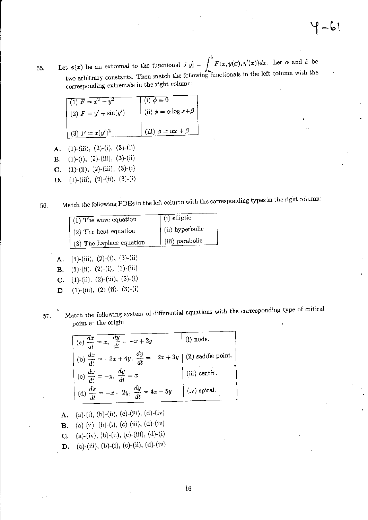$\mathbb{E}[x] = \mathbb{E}[f(x, y|x), y(x)]$  and  $\mathbb{E}[f(x, y|x), y(x)]$  and  $\mathbb{E}[f(x, y|x), y(x)]$  and  $\mathbb{E}[f(x, y|x)]$  and  $\mathbb{E}[f(x, y|x)]$ two arbitrary constants. Then match the following functionals in the left column with the corresponding extremals in the right column:

| $\sqrt{(1) F = x^2 + y^2}$ | $(i) \phi \equiv 0$                 |
|----------------------------|-------------------------------------|
| (2) $F = y' + sin(y')$     | (ii) $\phi = \alpha \log x + \beta$ |
| (3) $F = x(y')^2$          | (iii) $\phi = \alpha x + \beta$     |

- A. (1)-(iii), (2)-(i), (3)-(ii)
- **B.** (1)-(i), (2)-(iii), (3)-(ii)
- C. (1)-(ii), (2)-(iii), (3)-(i)
- **D.** (1)-(ii), (2)-(ii), (3)-(i)

56. Match the following PDEs in the left column with the corresponding types in the right column:

| $\sqrt{(1)$ The wave equation | $(i)$ elliptic  |
|-------------------------------|-----------------|
| (2) The heat equation         | (ii) hyperbolic |
| (3) The Laplace equation      | (iii) parabolic |

- A. (1)-(iii), (2)-(i), (3)-(ii)
- **B.** (1)-(ii), (2)-(i), (3)-(iii)
- **C.** (1)-(ii), (2)-(iii), (3)-(i)
- **D.** (1)-(iii), (2)-(ii), (3)-(i)

57. Match the following system of differential equations with the corresponding type of critical point at the origin

| (a) $\frac{dx}{dt} = x$ , $\frac{dy}{dt} = -x + 2y$                            | $(i)$ node.         |
|--------------------------------------------------------------------------------|---------------------|
| (b) $\frac{dx}{dt} = -3x + 4y$ , $\frac{dy}{dt} = -2x + 3y$ (ii) saddle point. |                     |
| (c) $\frac{dx}{dt} = -y$ , $\frac{dy}{dt} = x$                                 | $(iii)$ centre.     |
| (d) $\frac{dx}{dt} = -x - 2y$ , $\frac{dy}{dt} = 4x - 5y$                      | $\int$ (iv) spiral. |

A. (a)-(i), (b)-(ii), (c)-(iii), (d)-(iv) **B.** (a)-(ii), (b)-(i), (c)-(iii), (d)-(iv) **C.** (a)-(iv), (b)-(ii), (c)-(iii), (d)-(i) **D.** (a)-(iii), (b)-(i), (c)-(ii), (d)-(iv)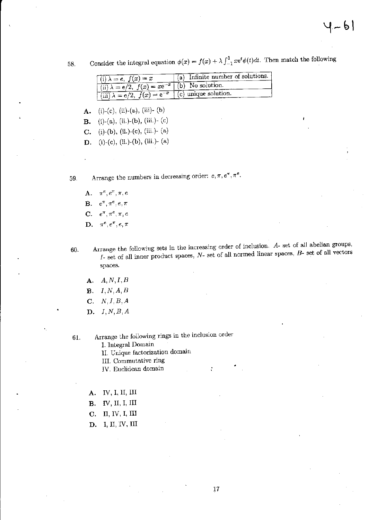58. Consider the integral equation  $\phi(x) = f(x) + \lambda \int_{-1}^{1} x e^{t} \phi(t) dt$ . Then match the following

| $f(i) \lambda = e, f(x) = x$                                          | $(a)$ Infinite number of solutions. |
|-----------------------------------------------------------------------|-------------------------------------|
| $\pm$ (ii) $\lambda = e/2$ , $f(x) = xe^{-x}$ (b) No solution.        |                                     |
| $\lim_{x \to a} \lambda = e/2$ , $f(x) = e^{-x}$ (c) unique solution. |                                     |

A. (i)-(e), (ii)-(a), (iii)- (b)

**B.** (i)-(a), (ii.)-(b), (iii.)- (c)

C. (i)-(b), (ii.)-(c), (iii.)- (a)

**D.** (i)-(c), (ii.)-(b), (iii.)- (a)

59. Arrange the numbers in decreasing order:  $e, \pi, e^{\pi}, \pi^e$ .

A.  $\pi^e, e^{\pi}, \pi, e$ **B.**  $e^{\pi}, \pi^e, e, \pi$ C.  $e^{\pi}, \pi^e, \pi, e$ D.  $\pi^e, e^{\pi}, e, \pi$ 

60. Arrange the following sets in the increasing order of inclusion. A- set of all abelian groups,  $I-$  set of all inner product spaces,  $N-$  set of all normed linear spaces,  $B-$  set of all vectors spaces.

÷

- A. *A,N,I.B*
- B. *I,N,A,B*
- $C. N, I, B, A$
- D. *I,N,B,A*
- 61.

Arrange the following rings in the inclusion order

I. Integral Domain

II. Cnique factorization domain

III. Commutative ring

IV. Euclidean domain

- A. IV, I, II, III
- **B.** IV, II, I, III
- C. II, IV, I, III
- D. I, II, IV, III

•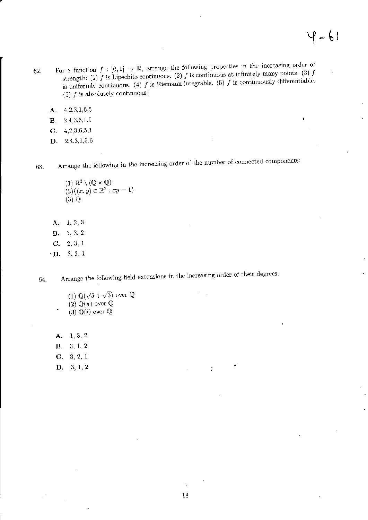- 62. For a function  $f : [0,1] \to \mathbb{R}$ , arrange the following properties in the increasing order of  $(3)$  f strength: (1) f is Lipschitz continuous. (2) f is continuous at infinitely many points. (3) f is uniformly continuous. (4)  $f$  is Riemann integrable. (5)  $f$  is continuously differentiable. (6)  $f$  is absolutely continuous.
	- A. 4,2,3,1,6,5
	- B. 2,4,3,6,1,5
	- C. 4,2,3,6,5,1
	- D. 2,4,3,1.5,6

63. Arrange the following in the increasing order of the number of connected components:

- (1)  $\mathbb{R}^2 \setminus (\mathbb{Q} \times \mathbb{Q})$  $(2)((x,y) \in \mathbb{R}^2 : xy = 1)$  $(3)  $Q$$
- A. B.  $C. \quad 2, 3, 1$ D. 3,2, 1 1,2,3 1,3,2

64. Arrange the following field extensions in the increasing order of their degrees:

(1)  $\mathbb{Q}(\sqrt{5} + \sqrt{3})$  over  $\mathbb{Q}$ (2)  $\mathbb{Q}(\pi)$  over  $\hat{\mathbb{Q}}$ (3)  $\mathbb{Q}(i)$  over  $\mathbb{Q}$ 

A. 1,3,2 B. 3, 1, 2 C. 3,2, 1 **D.** 3, 1, 2  $\vdots$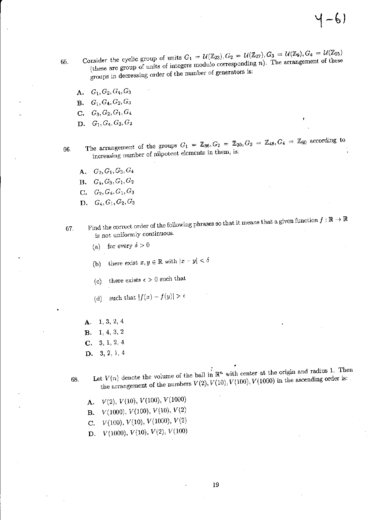65. Consider the cyclic group of units  $G_1 = \mathcal{U}(\mathbb{Z}_{23}), G_2 = \mathcal{U}(\mathbb{Z}_{27}), G_3 = \mathcal{U}(\mathbb{Z}_9), G_4 = \mathcal{U}(\mathbb{Z}_{25})$ (these are group of units of integers modulo corresponding  $n$ ). The arrangement of these groups in decreasing order of the number of generators is:

 $4 - 61$ 

- A. *G1,G2,G4,G3*
- **B.**  $G_1, G_4, G_2, G_3$
- $C. G_3, G_2, G_1, G_4$
- D.  $G_1, G_4, G_3, G_2$

66. The arrangement of the groups  $G_1 = \mathbb{Z}_{36}$ ,  $G_2 = \mathbb{Z}_{30}$ ,  $G_3 = \mathbb{Z}_{48}$ ,  $G_4 = \mathbb{Z}_{60}$  according to increasing number of nilpotent elements in them, is:

- A.  $G_2, G_1, G_3, G_4$
- **B.**  $G_4, G_3, G_1, G_2$
- C. *G2 ,G4,G1,G3*
- D. *G4,Gl,G2,G*a
- 67. Find the correct order of the following phrases so that it means that a given function  $f : \mathbb{R} \to \mathbb{R}$ is not uniformly continuous.
	- (a) for every  $\delta > 0$
	- (b) there exist  $x, y \in \mathbb{R}$  with  $|x y| < \delta$
	- (c) there exists  $\epsilon > 0$  such that
	- (d) such that  $|f(x) f(y)| > \epsilon$
	- A. 1,3,2, 4 B. 1,4,3,2 C. 3, 1, 2, 4 D. 3,2,1,4
	- $\mathcal{F}_{\text{tot}}$  Let  $V(x)$  denote the volume of the ball in  $\mathbb{R}^n$  with center at the origin and radius 1. Then the arrangement of the numbers  $V(2)$ ,  $V(10)$ ,  $V(100)$ ,  $V(1000)$  in the ascending order is:

•

- **A.**  $V(2)$ ,  $V(10)$ ,  $V(100)$ ,  $V(1000)$
- **B.**  $V(1000)$ ,  $V(100)$ ,  $V(10)$ ,  $V(2)$
- C.  $V(100), V(10), V(1000), V(2)$
- **D.**  $V(1000)$ ,  $V(10)$ ,  $V(2)$ ,  $V(100)$